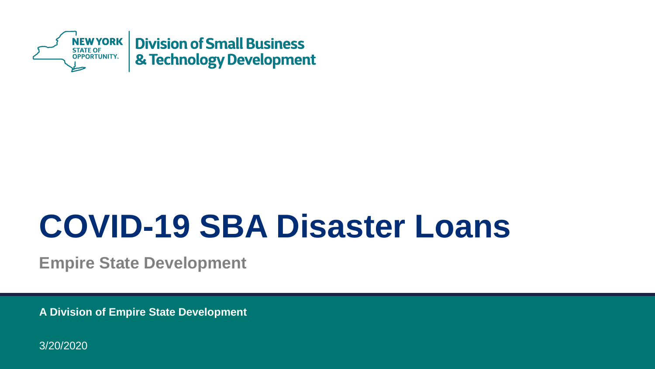

# **COVID-19 SBA Disaster Loans**

**Empire State Development**

**A Division of Empire State Development** 

3/20/2020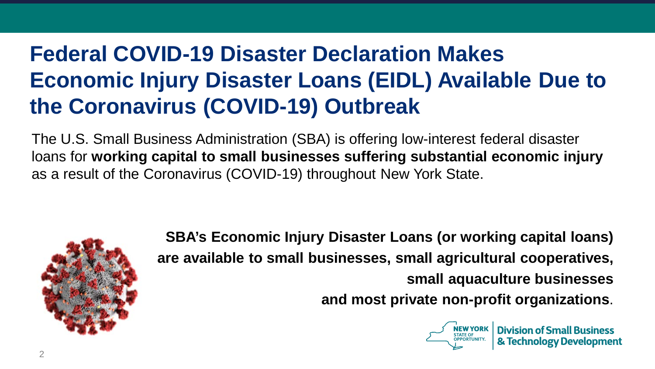## **Federal COVID-19 Disaster Declaration Makes Economic Injury Disaster Loans (EIDL) Available Due to the Coronavirus (COVID-19) Outbreak**

The U.S. Small Business Administration (SBA) is offering low-interest federal disaster loans for **working capital to small businesses suffering substantial economic injury** as a result of the Coronavirus (COVID-19) throughout New York State.



**SBA's Economic Injury Disaster Loans (or working capital loans) are available to small businesses, small agricultural cooperatives, small aquaculture businesses and most private non-profit organizations**.

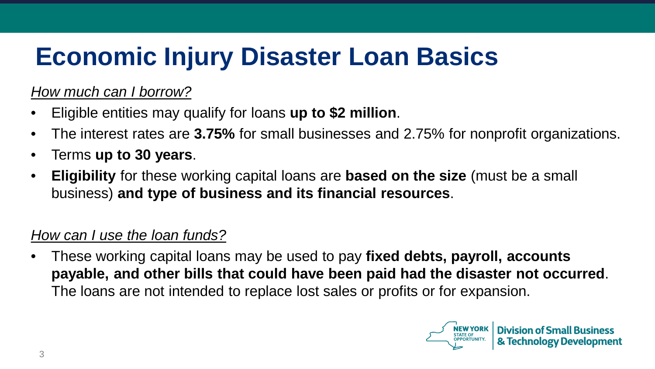# **Economic Injury Disaster Loan Basics**

*How much can I borrow?*

- Eligible entities may qualify for loans **up to \$2 million**.
- The interest rates are **3.75%** for small businesses and 2.75% for nonprofit organizations.
- Terms **up to 30 years**.
- **Eligibility** for these working capital loans are **based on the size** (must be a small business) **and type of business and its financial resources**.

#### *How can I use the loan funds?*

• These working capital loans may be used to pay **fixed debts, payroll, accounts payable, and other bills that could have been paid had the disaster not occurred**. The loans are not intended to replace lost sales or profits or for expansion.

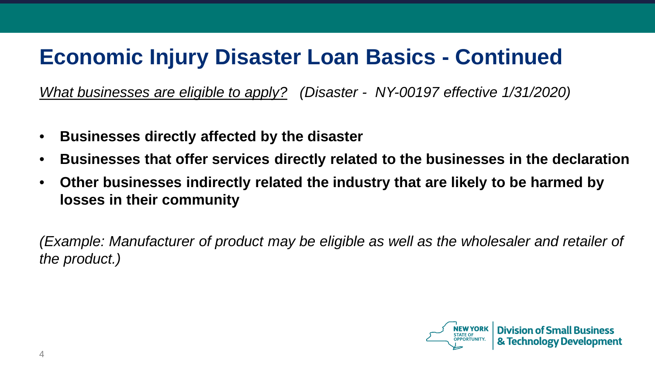### **Economic Injury Disaster Loan Basics - Continued**

*What businesses are eligible to apply? (Disaster - NY-00197 effective 1/31/2020)*

- **Businesses directly affected by the disaster**
- **Businesses that offer services directly related to the businesses in the declaration**
- **Other businesses indirectly related the industry that are likely to be harmed by losses in their community**

*(Example: Manufacturer of product may be eligible as well as the wholesaler and retailer of the product.)*

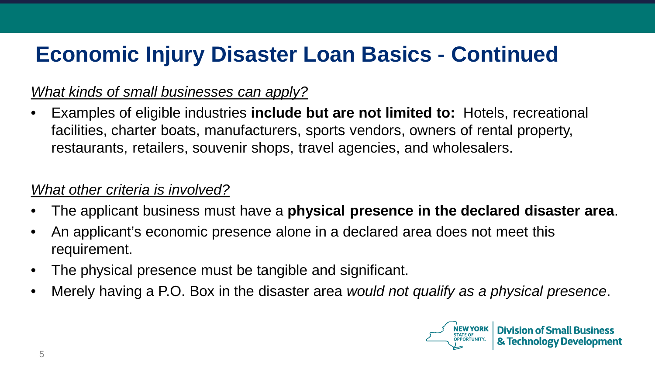### **Economic Injury Disaster Loan Basics - Continued**

#### *What kinds of small businesses can apply?*

• Examples of eligible industries **include but are not limited to:** Hotels, recreational facilities, charter boats, manufacturers, sports vendors, owners of rental property, restaurants, retailers, souvenir shops, travel agencies, and wholesalers.

#### *What other criteria is involved?*

- The applicant business must have a **physical presence in the declared disaster area**.
- An applicant's economic presence alone in a declared area does not meet this requirement.
- The physical presence must be tangible and significant.
- Merely having a P.O. Box in the disaster area *would not qualify as a physical presence*.

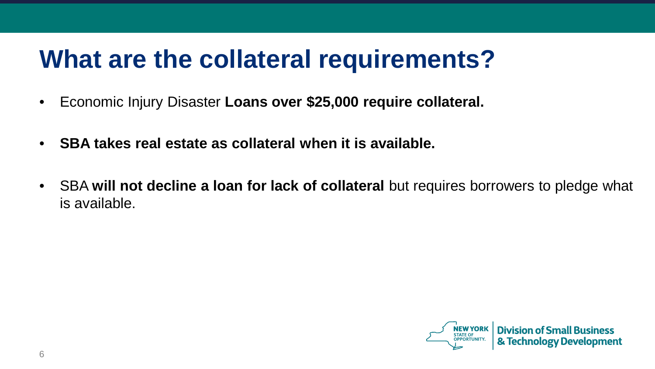## **What are the collateral requirements?**

- Economic Injury Disaster **Loans over \$25,000 require collateral.**
- **SBA takes real estate as collateral when it is available.**
- SBA **will not decline a loan for lack of collateral** but requires borrowers to pledge what is available.

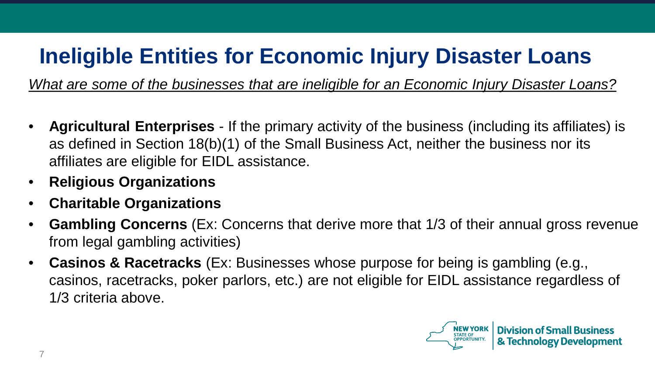### **Ineligible Entities for Economic Injury Disaster Loans**

*What are some of the businesses that are ineligible for an Economic Injury Disaster Loans?*

- **Agricultural Enterprises**  If the primary activity of the business (including its affiliates) is as defined in Section 18(b)(1) of the Small Business Act, neither the business nor its affiliates are eligible for EIDL assistance.
- **Religious Organizations**
- **Charitable Organizations**
- **Gambling Concerns** (Ex: Concerns that derive more that 1/3 of their annual gross revenue from legal gambling activities)
- **Casinos & Racetracks** (Ex: Businesses whose purpose for being is gambling (e.g., casinos, racetracks, poker parlors, etc.) are not eligible for EIDL assistance regardless of 1/3 criteria above.

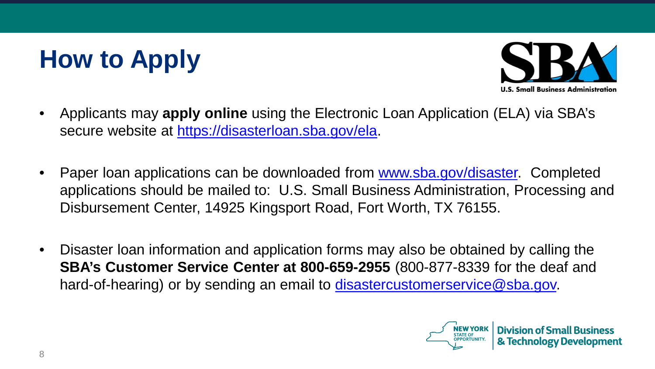# **How to Apply**



- Applicants may **apply online** using the Electronic Loan Application (ELA) via SBA's secure website at https://disasterloan.sba.gov/ela.
- Paper loan applications can be downloaded from www.sba.gov/disaster. Completed applications should be mailed to: U.S. Small Business Administration, Processing and Disbursement Center, 14925 Kingsport Road, Fort Worth, TX 76155.
- Disaster loan information and application forms may also be obtained by calling the **SBA's Customer Service Center at 800-659-2955** (800-877-8339 for the deaf and hard-of-hearing) or by sending an email to disastercustomerservice@sba.gov.

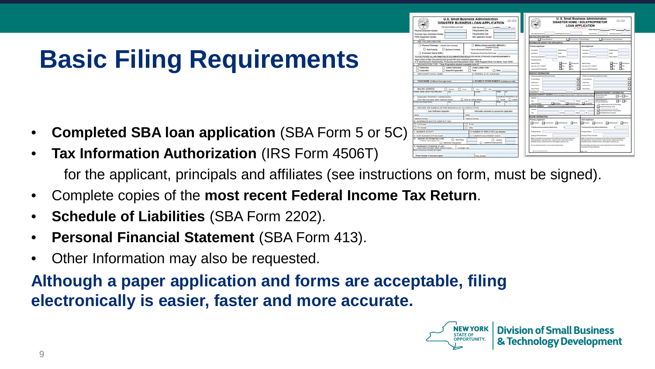## **Basic Filing Requirements**

- **Completed SBA loan application** (SBA Form 5 or 5C)
- **Tax Information Authorization** (IRS Form 4506T) for the applicant, principals and affiliates (see instructions on form, must be signed).
- Complete copies of the **most recent Federal Income Tax Return**.
- **Schedule of Liabilities** (SBA Form 2202).
- **Personal Financial Statement** (SBA Form 413).
- Other Information may also be requested.

#### **Although a paper application and forms are acceptable, filing electronically is easier, faster and more accurate.**



|                                                            | <b>U.S. Small Business Administration</b><br>DISASTER BUSINESS LOAN APPLICATION                                    |                                  | <b>CEL STAT</b>             |
|------------------------------------------------------------|--------------------------------------------------------------------------------------------------------------------|----------------------------------|-----------------------------|
| FOR SIX AVERAGE LISE OVER                                  |                                                                                                                    |                                  | $y_0$ =                     |
| ÷                                                          | Filing Deadline Date                                                                                               |                                  |                             |
| <b>Got Render</b>                                          | <b>Fisiko Cauchine Cults</b>                                                                                       |                                  |                             |
| w                                                          | <b>SILA Justicalist Number</b>                                                                                     |                                  |                             |
| <b>VS FOR</b>                                              |                                                                                                                    |                                  |                             |
| Alge - instrals tune of demage                             | Military Seservint EIDL (MREIDL)                                                                                   |                                  |                             |
| <b>Business Contacts</b><br>m                              | ADMINIA PA REGIME<br>* Name of Expertise Employee                                                                  |                                  |                             |
|                                                            |                                                                                                                    |                                  |                             |
| ary (IDDS)                                                 | "Engineer's Doctet Denvis Norman -<br>APORTER TION OR DOCUMENTATION REQUESTED IN THE ATTACHED FILMIN REQUIREMENTS. |                                  |                             |
| Inschritten Ma gov/sta' Off send completed applications to | ministration, Processing and Disbursement Center, 14920 Worgsport Riced, Fort Morth, Texas 76155.                  |                                  |                             |
| TFC  "Suite Progetekara altoutd complete form DC           |                                                                                                                    |                                  |                             |
| <b>Carated Packwridge</b>                                  | Linded Listally Every                                                                                              |                                  |                             |
| Norgeoff Organization                                      | Touri                                                                                                              | $\Box$ Obst                      |                             |
| AL NAME                                                    | 4. FEDERAL E.I.N. (Facebooker)                                                                                     |                                  |                             |
|                                                            |                                                                                                                    |                                  |                             |
| <b>Recent Prote legal name</b>                             | 4. BUSINESS PHONE MUMBER (minding you cold)                                                                        |                                  |                             |
|                                                            |                                                                                                                    |                                  |                             |
|                                                            |                                                                                                                    |                                  |                             |
| CL book<br>$\Box$ means<br><b>Mon-Bar</b><br>নে            | $\sim$<br><b>There</b><br>$-$                                                                                      | $-$                              |                             |
|                                                            |                                                                                                                    |                                  | m                           |
| <b>KTY ADDRESSES</b>                                       |                                                                                                                    |                                  | <b>BUSINESS PROPERTY IS</b> |
| share additional shares                                    | T Sans as mains attitude                                                                                           |                                  | FT meat FT raised           |
| ञ                                                          |                                                                                                                    | ≂                                | स्टब                        |
| MES OF THE IMPANDIALIS) TO CONTACT FOR                     |                                                                                                                    |                                  |                             |
| dealer insector                                            | Information excessure to process the Auplication                                                                   |                                  |                             |
|                                                            | <b>Station</b>                                                                                                     |                                  |                             |
|                                                            | Telephone Number                                                                                                   |                                  |                             |
| O CONTACT YOU                                              |                                                                                                                    |                                  |                             |
|                                                            | $1$ fine                                                                                                           |                                  |                             |
|                                                            | $\Box$ One                                                                                                         |                                  |                             |
|                                                            | 12. NUMBER OF EMPLOYEES (pre-disaster)                                                                             |                                  |                             |
| NIMBER<br>14. CLINDENT MAINA/MINENT SINCE                  |                                                                                                                    |                                  |                             |
| <b>AUDITORS</b><br><b>C</b> furthern                       |                                                                                                                    | <b><i><u>Instruments</u></i></b> |                             |
| <b>Barnet</b><br>Machinery & Equipment                     | Lagerhold Improvements                                                                                             |                                  |                             |
| <b>IGE OF ARC</b>                                          |                                                                                                                    |                                  |                             |
| official additional showing (1)                            | Coverage Futer                                                                                                     |                                  |                             |
| and Agent                                                  |                                                                                                                    |                                  |                             |
| anne ilusent                                               | <b>Palm Number</b>                                                                                                 |                                  |                             |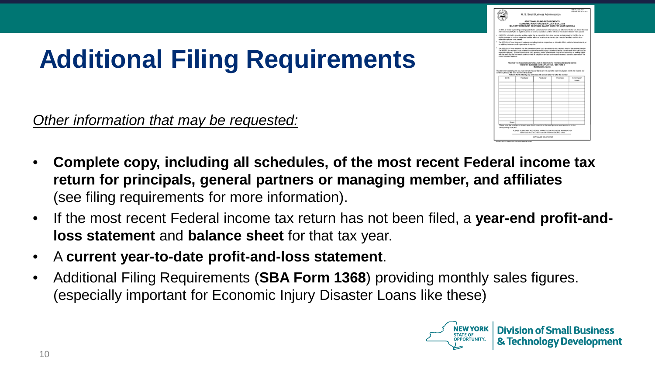## **Additional Filing Requirements**

*Other information that may be requested:*

- **II.S. Small Business Administrative**
- **Complete copy, including all schedules, of the most recent Federal income tax return for principals, general partners or managing member, and affiliates**  (see filing requirements for more information).
- If the most recent Federal income tax return has not been filed, a **year-end profit-andloss statement** and **balance sheet** for that tax year.
- A **current year-to-date profit-and-loss statement**.
- Additional Filing Requirements (**SBA Form 1368**) providing monthly sales figures. (especially important for Economic Injury Disaster Loans like these)

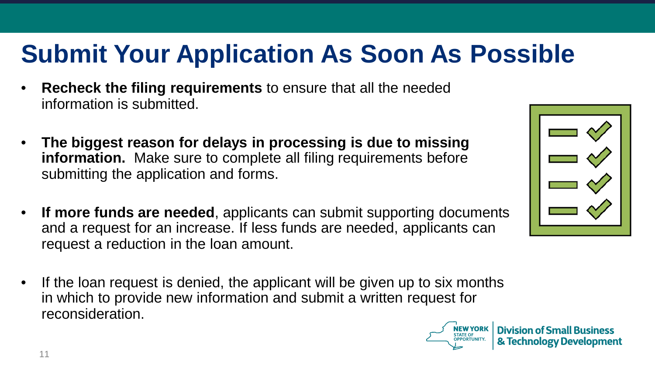## **Submit Your Application As Soon As Possible**

- **Recheck the filing requirements** to ensure that all the needed information is submitted.
- **The biggest reason for delays in processing is due to missing information.** Make sure to complete all filing requirements before submitting the application and forms.
- **If more funds are needed**, applicants can submit supporting documents and a request for an increase. If less funds are needed, applicants can request a reduction in the loan amount.
- If the loan request is denied, the applicant will be given up to six months in which to provide new information and submit a written request for reconsideration.



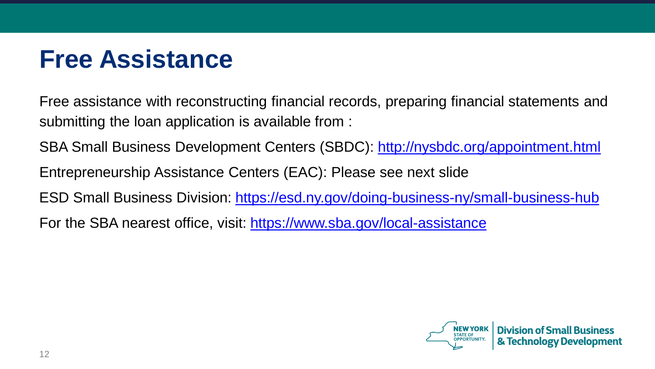## **Free Assistance**

Free assistance with reconstructing financial records, preparing financial statements and submitting the loan application is available from :

SBA Small Business Development Centers (SBDC): http://nysbdc.org/appointment.html

Entrepreneurship Assistance Centers (EAC): Please see next slide

ESD Small Business Division: https://esd.ny.gov/doing-business-ny/small-business-hub

For the SBA nearest office, visit: https://www.sba.gov/local-assistance

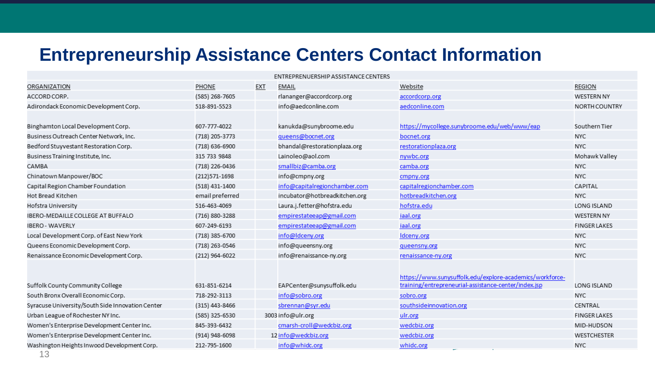#### **Entrepreneurship Assistance Centers Contact Information**

| ENTREPRENUERSHIP ASSISTANCE CENTERS |                                                |                               |                                                                                         |                                                                                                             |  |  |  |  |  |
|-------------------------------------|------------------------------------------------|-------------------------------|-----------------------------------------------------------------------------------------|-------------------------------------------------------------------------------------------------------------|--|--|--|--|--|
| PHONE                               | EXT                                            | <b>EMAIL</b>                  | Website                                                                                 | <b>REGION</b>                                                                                               |  |  |  |  |  |
| (585) 268-7605                      |                                                | rlananger@accordcorp.org      | accordcorp.org                                                                          | <b>WESTERN NY</b>                                                                                           |  |  |  |  |  |
| 518-891-5523                        |                                                | info@aedconline.com           | aedconline.com                                                                          | NORTH COUNTRY                                                                                               |  |  |  |  |  |
|                                     |                                                |                               |                                                                                         |                                                                                                             |  |  |  |  |  |
| 607-777-4022                        |                                                | kanukda@sunybroome.edu        | https://mycollege.sunybroome.edu/web/www/eap                                            | Southern Tier                                                                                               |  |  |  |  |  |
| (718) 205-3773                      |                                                | queens@bocnet.org             | bocnet.org                                                                              | <b>NYC</b>                                                                                                  |  |  |  |  |  |
| (718) 636-6900                      |                                                | bhandal@restorationplaza.org  | restorationplaza.org                                                                    | <b>NYC</b>                                                                                                  |  |  |  |  |  |
| 315 733 9848                        |                                                | Lainoleo@aol.com              | nywbc.org                                                                               | Mohawk Valley                                                                                               |  |  |  |  |  |
| (718) 226-0436                      |                                                | smallbiz@camba.org            | camba.org                                                                               | <b>NYC</b>                                                                                                  |  |  |  |  |  |
| (212) 571-1698                      |                                                | info@cmpny.org                | cmpny.org                                                                               | <b>NYC</b>                                                                                                  |  |  |  |  |  |
| (518) 431-1400                      |                                                | info@capitalregionchamber.com | capitalregionchamber.com                                                                | CAPITAL                                                                                                     |  |  |  |  |  |
| email preferred                     |                                                | incubator@hotbreadkitchen.org | hotbreadkitchen.org                                                                     | <b>NYC</b>                                                                                                  |  |  |  |  |  |
| 516-463-4069                        |                                                | Laura.j.fetter@hofstra.edu    | hofstra.edu                                                                             | LONG ISLAND                                                                                                 |  |  |  |  |  |
| (716) 880-3288                      |                                                | empirestateeap@gmail.com      | iaal.org                                                                                | <b>WESTERN NY</b>                                                                                           |  |  |  |  |  |
| 607-249-6193                        |                                                | empirestateeap@gmail.com      | iaal.org                                                                                | <b>FINGER LAKES</b>                                                                                         |  |  |  |  |  |
| (718) 385-6700                      |                                                | info@ldceny.org               | Idceny.org                                                                              | <b>NYC</b>                                                                                                  |  |  |  |  |  |
| (718) 263-0546                      |                                                | info@queensny.org             | queensny.org                                                                            | <b>NYC</b>                                                                                                  |  |  |  |  |  |
| (212) 964-6022                      |                                                | info@renaissance-ny.org       | renaissance-ny.org                                                                      | <b>NYC</b>                                                                                                  |  |  |  |  |  |
|                                     |                                                |                               |                                                                                         |                                                                                                             |  |  |  |  |  |
|                                     |                                                |                               | https://www.sunysuffolk.edu/explore-academics/workforce-                                |                                                                                                             |  |  |  |  |  |
|                                     |                                                |                               |                                                                                         | LONG ISLAND                                                                                                 |  |  |  |  |  |
|                                     |                                                |                               |                                                                                         | <b>NYC</b>                                                                                                  |  |  |  |  |  |
|                                     |                                                | sbrennan@syr.edu              |                                                                                         | CENTRAL                                                                                                     |  |  |  |  |  |
| (585) 325-6530                      |                                                |                               | ulr.org                                                                                 | <b>FINGER LAKES</b>                                                                                         |  |  |  |  |  |
| 845-393-6432                        |                                                | cmarsh-croll@wedcbiz.org      |                                                                                         | MID-HUDSON                                                                                                  |  |  |  |  |  |
| (914) 948-6098                      |                                                |                               | wedcbiz.org                                                                             | <b>WESTCHESTER</b>                                                                                          |  |  |  |  |  |
| 212-795-1600                        |                                                | info@whidc.org                | whidc.org                                                                               | <b>NYC</b>                                                                                                  |  |  |  |  |  |
|                                     | 631-851-6214<br>718-292-3113<br>(315) 443-8466 |                               | EAPCenter@sunysuffolk.edu<br>info@sobro.org<br>3003 info@ulr.org<br>12 info@wedcbiz.org | training/entrepreneurial-assistance-center/index.jsp<br>sobro.org<br>southsideinnovation.org<br>wedcbiz.org |  |  |  |  |  |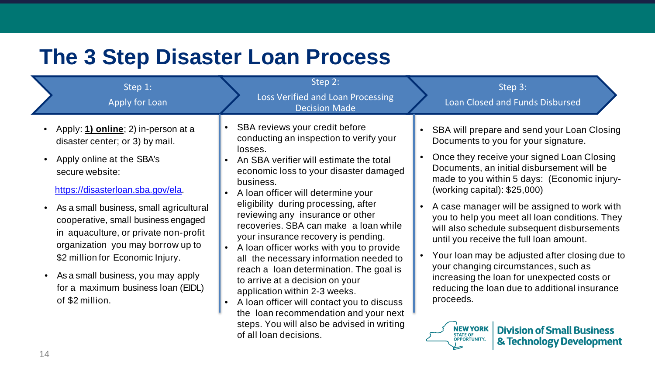### **The 3 Step Disaster Loan Process**

| Step 1:<br>Apply for Loan                                                                                                                                                                                                                                                                                                                                                                                                                                      |                        | Step 2:<br>Loss Verified and Loan Processing<br><b>Decision Made</b>                                                                                                                                                                                                                                                                                                                                                                                                                                                                                                                                                                                                                                                                                          | Step 3:<br>Loan Closed and Funds Disbursed                                                                                                                                                                                                                                                                                                                                                                                                                                                                                                                                                                                                                                                                                                                                                  |
|----------------------------------------------------------------------------------------------------------------------------------------------------------------------------------------------------------------------------------------------------------------------------------------------------------------------------------------------------------------------------------------------------------------------------------------------------------------|------------------------|---------------------------------------------------------------------------------------------------------------------------------------------------------------------------------------------------------------------------------------------------------------------------------------------------------------------------------------------------------------------------------------------------------------------------------------------------------------------------------------------------------------------------------------------------------------------------------------------------------------------------------------------------------------------------------------------------------------------------------------------------------------|---------------------------------------------------------------------------------------------------------------------------------------------------------------------------------------------------------------------------------------------------------------------------------------------------------------------------------------------------------------------------------------------------------------------------------------------------------------------------------------------------------------------------------------------------------------------------------------------------------------------------------------------------------------------------------------------------------------------------------------------------------------------------------------------|
| Apply: 1) online; 2) in-person at a<br>disaster center; or 3) by mail.<br>Apply online at the SBA's<br>secure website:<br>https://disasterloan.sba.gov/ela.<br>As a small business, small agricultural<br>cooperative, small business engaged<br>in aquaculture, or private non-profit<br>organization you may borrow up to<br>\$2 million for Economic Injury.<br>As a small business, you may apply<br>for a maximum business loan (EIDL)<br>of \$2 million. | $\bullet$<br>$\bullet$ | SBA reviews your credit before<br>conducting an inspection to verify your<br>losses.<br>An SBA verifier will estimate the total<br>economic loss to your disaster damaged<br>business.<br>A loan officer will determine your<br>eligibility during processing, after<br>reviewing any insurance or other<br>recoveries. SBA can make a loan while<br>your insurance recovery is pending.<br>A loan officer works with you to provide<br>all the necessary information needed to<br>reach a loan determination. The goal is<br>to arrive at a decision on your<br>application within 2-3 weeks.<br>A loan officer will contact you to discuss<br>the loan recommendation and your next<br>steps. You will also be advised in writing<br>of all loan decisions. | SBA will prepare and send your Loan Closing<br>Documents to you for your signature.<br>Once they receive your signed Loan Closing<br>Documents, an initial disbursement will be<br>made to you within 5 days: (Economic injury-<br>(working capital): $$25,000$ )<br>A case manager will be assigned to work with<br>you to help you meet all loan conditions. They<br>will also schedule subsequent disbursements<br>until you receive the full loan amount.<br>Your loan may be adjusted after closing due to<br>your changing circumstances, such as<br>increasing the loan for unexpected costs or<br>reducing the loan due to additional insurance<br>proceeds.<br><b>NEW YORK</b><br><b>Division of Small Business</b><br><b>STATE OF</b><br>OPPORTUNITY.<br>& Technology Development |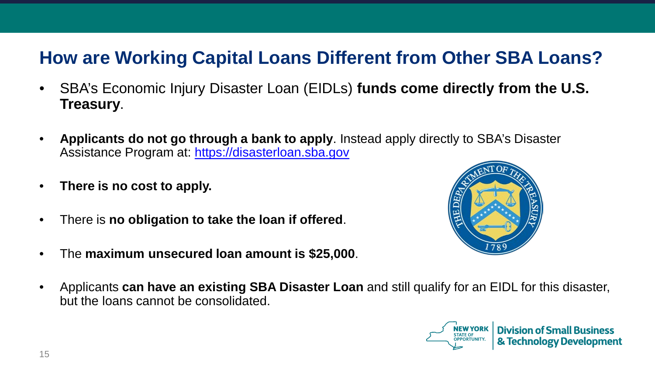#### **How are Working Capital Loans Different from Other SBA Loans?**

- SBA's Economic Injury Disaster Loan (EIDLs) **funds come directly from the U.S. Treasury**.
- **Applicants do not go through a bank to apply**. Instead apply directly to SBA's Disaster Assistance Program at: https://disasterloan.sba.gov
- **There is no cost to apply.**
- There is **no obligation to take the loan if offered**.
- The **maximum unsecured loan amount is \$25,000**.



• Applicants **can have an existing SBA Disaster Loan** and still qualify for an EIDL for this disaster, but the loans cannot be consolidated.